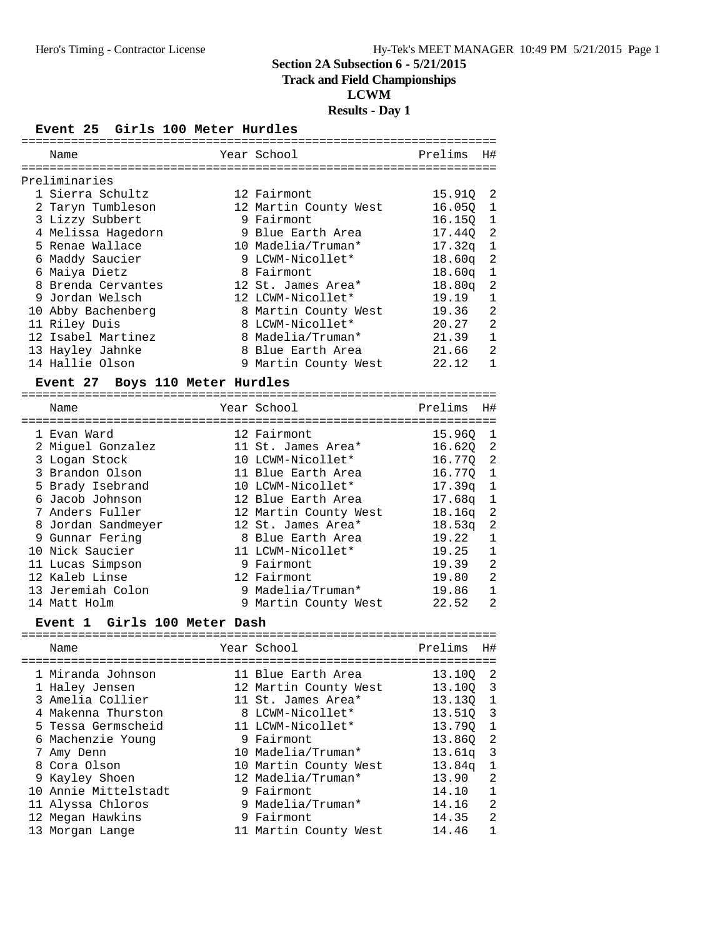# **Track and Field Championships**

# **LCWM**

# **Results - Day 1**

#### **Event 25 Girls 100 Meter Hurdles**

|  | Name               | Year School           | Prelims            | H#             |
|--|--------------------|-----------------------|--------------------|----------------|
|  | Preliminaries      |                       |                    |                |
|  |                    |                       |                    |                |
|  | 1 Sierra Schultz   | 12 Fairmont           | 15.910             | -2             |
|  | 2 Taryn Tumbleson  | 12 Martin County West | 16.050             | $\mathbf{1}$   |
|  | 3 Lizzy Subbert    | 9 Fairmont            | 16.150 1           |                |
|  | 4 Melissa Hagedorn | 9 Blue Earth Area     | 17.440 2           |                |
|  | 5 Renae Wallace    | 10 Madelia/Truman*    | 17.32a             | $\overline{1}$ |
|  | 6 Maddy Saucier    | 9 LCWM-Nicollet*      | 18.60a             | 2              |
|  | 6 Maiya Dietz      | 8 Fairmont            | 18.60 <sub>q</sub> | $\mathbf{1}$   |
|  | 8 Brenda Cervantes | 12 St. James Area*    | 18.80a             | 2              |
|  | 9 Jordan Welsch    | 12 LCWM-Nicollet*     | 19.19              | 1              |
|  | 10 Abby Bachenberg | 8 Martin County West  | 19.36 2            |                |
|  | 11 Riley Duis      | 8 LCWM-Nicollet*      | 20.27              | 2              |
|  | 12 Isabel Martinez | 8 Madelia/Truman*     | 21.39              | 1              |
|  | 13 Hayley Jahnke   | 8 Blue Earth Area     | 21.66              | 2              |
|  | 14 Hallie Olson    | 9 Martin County West  | 22.12              | 1              |
|  |                    |                       |                    |                |

# **Event 27 Boys 110 Meter Hurdles**

| Name               | Year School           | Prelims            | Η#             |
|--------------------|-----------------------|--------------------|----------------|
|                    |                       |                    |                |
| 1 Evan Ward        | 12 Fairmont           | 15.960             | $\mathbf{1}$   |
| 2 Miquel Gonzalez  | 11 St. James Area*    | 16.620 2           |                |
| 3 Logan Stock      | 10 LCWM-Nicollet*     | 16.770 2           |                |
| 3 Brandon Olson    | 11 Blue Earth Area    | 16.770 1           |                |
| 5 Brady Isebrand   | 10 LCWM-Nicollet*     | 17.39a             | $\overline{1}$ |
| 6 Jacob Johnson    | 12 Blue Earth Area    | 17.68 <sub>q</sub> | $\mathbf{1}$   |
| 7 Anders Fuller    | 12 Martin County West | 18.16a             | - 2            |
| 8 Jordan Sandmeyer | 12 St. James Area*    | 18.53 <sub>q</sub> | 2              |
| 9 Gunnar Fering    | 8 Blue Earth Area     | 19.22              | 1              |
| 10 Nick Saucier    | 11 LCWM-Nicollet*     | 19.25              | $\mathbf{1}$   |
| 11 Lucas Simpson   | 9 Fairmont            | 19.39              | 2              |
| 12 Kaleb Linse     | 12 Fairmont           | 19.80              | 2              |
| 13 Jeremiah Colon  | 9 Madelia/Truman*     | 19.86              | $\mathbf{1}$   |
| 14 Matt Holm       | 9 Martin County West  | 22.52              | 2              |

#### **Event 1 Girls 100 Meter Dash**

| Name                 | Year School           | Prelims  | H#                         |
|----------------------|-----------------------|----------|----------------------------|
| 1 Miranda Johnson    | 11 Blue Earth Area    | 13.10Q   | - 2                        |
| 1 Haley Jensen       | 12 Martin County West | 13.100 3 |                            |
| 3 Amelia Collier     | 11 St. James Area*    | 13.130 1 |                            |
| 4 Makenna Thurston   | 8 LCWM-Nicollet*      | 13.510   | $\overline{\mathbf{3}}$    |
| 5 Tessa Germscheid   | 11 LCWM-Nicollet*     | 13.790   | $\overline{1}$             |
| 6 Machenzie Young    | 9 Fairmont            | 13.860   | $\overline{\phantom{0}}^2$ |
| 7 Amy Denn           | 10 Madelia/Truman*    | 13.61g   | $\overline{\mathbf{3}}$    |
| 8 Cora Olson         | 10 Martin County West | 13.84q   | 1                          |
| 9 Kayley Shoen       | 12 Madelia/Truman*    | 13.90    | 2                          |
| 10 Annie Mittelstadt | 9 Fairmont            | 14.10    | $\mathbf{1}$               |
| 11 Alyssa Chloros    | 9 Madelia/Truman*     | 14.16    | 2                          |
| 12 Megan Hawkins     | 9 Fairmont            | 14.35    | $\overline{2}$             |
| 13 Morgan Lange      | 11 Martin County West | 14.46    | 1                          |
|                      |                       |          |                            |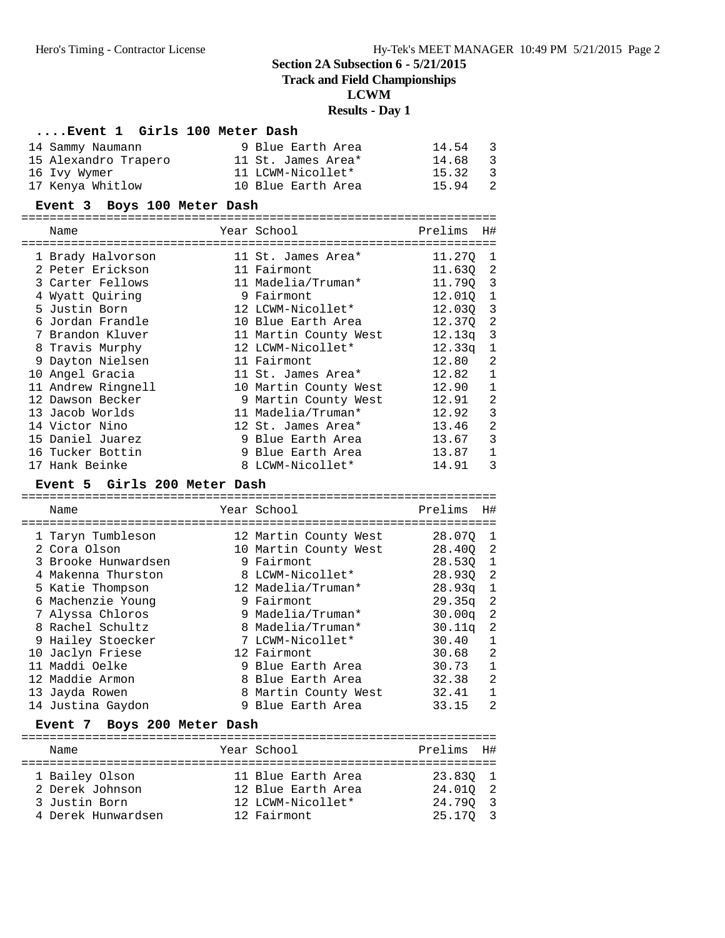# **Track and Field Championships**

# **LCWM**

#### **Results - Day 1**

# **....Event 1 Girls 100 Meter Dash**

| 14 Sammy Naumann     | 9 Blue Earth Area  | 14.54<br>- 3            |
|----------------------|--------------------|-------------------------|
| 15 Alexandro Trapero | 11 St. James Area* | 14.68<br>- 3            |
| 16 Ivy Wymer         | 11 LCWM-Nicollet*  | 15.32<br>- 3            |
| 17 Kenya Whitlow     | 10 Blue Earth Area | 15.94<br>$\overline{2}$ |

# **Event 3 Boys 100 Meter Dash**

| Name |                                                                                                                                                                                                                                                                                                                                       |                 | Prelims                                                                                                                                                                                                                                                                                                                                                  | H#           |
|------|---------------------------------------------------------------------------------------------------------------------------------------------------------------------------------------------------------------------------------------------------------------------------------------------------------------------------------------|-----------------|----------------------------------------------------------------------------------------------------------------------------------------------------------------------------------------------------------------------------------------------------------------------------------------------------------------------------------------------------------|--------------|
|      |                                                                                                                                                                                                                                                                                                                                       |                 | 11.270                                                                                                                                                                                                                                                                                                                                                   | -1           |
|      |                                                                                                                                                                                                                                                                                                                                       |                 | 11.630                                                                                                                                                                                                                                                                                                                                                   | 2            |
|      |                                                                                                                                                                                                                                                                                                                                       |                 | 11.790                                                                                                                                                                                                                                                                                                                                                   | 3            |
|      |                                                                                                                                                                                                                                                                                                                                       |                 | 12.010 1                                                                                                                                                                                                                                                                                                                                                 |              |
|      |                                                                                                                                                                                                                                                                                                                                       |                 | 12.030 3                                                                                                                                                                                                                                                                                                                                                 |              |
|      |                                                                                                                                                                                                                                                                                                                                       |                 | 12.370                                                                                                                                                                                                                                                                                                                                                   | 2            |
|      |                                                                                                                                                                                                                                                                                                                                       |                 | 12.13q                                                                                                                                                                                                                                                                                                                                                   | 3            |
|      |                                                                                                                                                                                                                                                                                                                                       |                 | 12.33a                                                                                                                                                                                                                                                                                                                                                   | $\mathbf{1}$ |
|      |                                                                                                                                                                                                                                                                                                                                       |                 | 12.80                                                                                                                                                                                                                                                                                                                                                    | 2            |
|      |                                                                                                                                                                                                                                                                                                                                       |                 | 12.82                                                                                                                                                                                                                                                                                                                                                    | $\mathbf 1$  |
|      |                                                                                                                                                                                                                                                                                                                                       |                 | 12.90                                                                                                                                                                                                                                                                                                                                                    | $\mathbf 1$  |
|      |                                                                                                                                                                                                                                                                                                                                       |                 | 12.91                                                                                                                                                                                                                                                                                                                                                    | 2            |
|      |                                                                                                                                                                                                                                                                                                                                       |                 | 12.92                                                                                                                                                                                                                                                                                                                                                    | 3            |
|      |                                                                                                                                                                                                                                                                                                                                       |                 | 13.46                                                                                                                                                                                                                                                                                                                                                    | 2            |
|      |                                                                                                                                                                                                                                                                                                                                       |                 | 13.67                                                                                                                                                                                                                                                                                                                                                    | 3            |
|      | 9                                                                                                                                                                                                                                                                                                                                     | Blue Earth Area | 13.87                                                                                                                                                                                                                                                                                                                                                    | $\mathbf{1}$ |
|      |                                                                                                                                                                                                                                                                                                                                       |                 | 14.91                                                                                                                                                                                                                                                                                                                                                    | 3            |
|      | 1 Brady Halvorson<br>2 Peter Erickson<br>3 Carter Fellows<br>4 Wyatt Quiring<br>5 Justin Born<br>6 Jordan Frandle<br>7 Brandon Kluver<br>8 Travis Murphy<br>9 Dayton Nielsen<br>Angel Gracia<br>11 Andrew Ringnell<br>12 Dawson Becker<br>13 Jacob Worlds<br>14 Victor Nino<br>15 Daniel Juarez<br>16 Tucker Bottin<br>17 Hank Beinke |                 | Year School<br>11 St. James Area*<br>11 Fairmont<br>11 Madelia/Truman*<br>9 Fairmont<br>12 LCWM-Nicollet*<br>10 Blue Earth Area<br>11 Martin County West<br>12 LCWM-Nicollet*<br>11 Fairmont<br>11 St. James Area*<br>10 Martin County West<br>9 Martin County West<br>11 Madelia/Truman*<br>12 St. James Area*<br>9 Blue Earth Area<br>8 LCWM-Nicollet* |              |

#### **Event 5 Girls 200 Meter Dash**

| Name                | Year School           | Prelims            | H#                         |
|---------------------|-----------------------|--------------------|----------------------------|
|                     |                       |                    |                            |
| 1 Taryn Tumbleson   | 12 Martin County West | 28.070             | - 1                        |
| 2 Cora Olson        | 10 Martin County West | 28.400             | $\overline{\phantom{0}}^2$ |
| 3 Brooke Hunwardsen | 9 Fairmont            | 28.530             | $\mathbf{1}$               |
| 4 Makenna Thurston  | 8 LCWM-Nicollet*      | 28.930             | -2                         |
| 5 Katie Thompson    | 12 Madelia/Truman*    | 28.93q             | 1                          |
| 6 Machenzie Young   | 9 Fairmont            | 29.35q             | -2                         |
| 7 Alyssa Chloros    | 9 Madelia/Truman*     | 30.00q             | $\overline{\phantom{a}}^2$ |
| 8 Rachel Schultz    | 8 Madelia/Truman*     | 30.11 <sub>q</sub> | 2                          |
| 9 Hailey Stoecker   | 7 LCWM-Nicollet*      | 30.40              | 1                          |
| 10 Jaclyn Friese    | 12 Fairmont           | 30.68              | $\overline{2}$             |
| 11 Maddi Oelke      | 9 Blue Earth Area     | 30.73              | 1                          |
| 12 Maddie Armon     | 8 Blue Earth Area     | 32.38              | $\overline{2}$             |
| 13 Jayda Rowen      | 8 Martin County West  | 32.41              | 1                          |
| 14 Justina Gaydon   | 9 Blue Earth Area     | 33.15              | 2                          |

# **Event 7 Boys 200 Meter Dash**

| Name               | Year School        | Prelims H# |  |
|--------------------|--------------------|------------|--|
|                    |                    |            |  |
| 1 Bailey Olson     | 11 Blue Earth Area | 23.830 1   |  |
| 2 Derek Johnson    | 12 Blue Earth Area | 24.010 2   |  |
| 3 Justin Born      | 12 LCWM-Nicollet*  | 24.790 3   |  |
| 4 Derek Hunwardsen | 12 Fairmont        | 25.170 3   |  |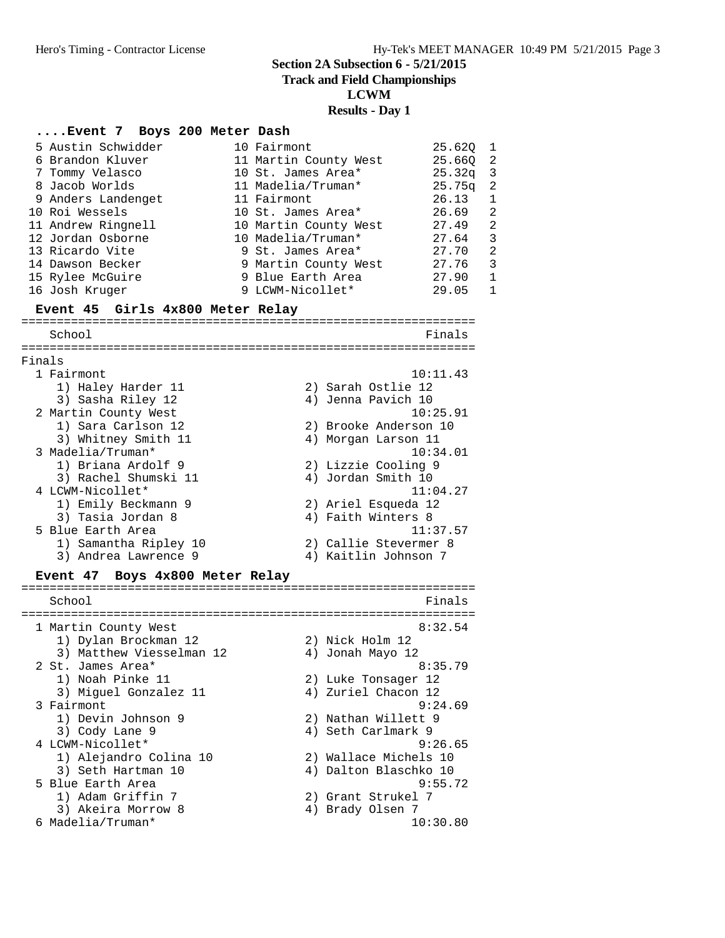**Track and Field Championships**

**LCWM**

## **Results - Day 1**

#### **....Event 7 Boys 200 Meter Dash**

|        | 5 Austin Schwidder<br>6 Brandon Kluver<br>7 Tommy Velasco<br>8 Jacob Worlds<br>9 Anders Landenget<br>10 Roi Wessels<br>11 Andrew Ringnell<br>12 Jordan Osborne<br>13 Ricardo Vite<br>14 Dawson Becker<br>15 Rylee McGuire<br>16 Josh Kruger | 10 Fairmont<br>11 Martin County West<br>10 St. James Area*<br>11 Madelia/Truman*<br>11 Fairmont<br>10 St. James Area*<br>10 Martin County West<br>10 Madelia/Truman*<br>9 St. James Area*<br>9 Martin County West<br>9 Blue Earth Area<br>9 LCWM-Nicollet* | 25.62Q<br>25.66Q<br>25.32q<br>25.75q<br>26.13<br>26.69<br>27.49<br>27.64<br>27.70<br>27.76<br>27.90<br>29.05 | 1<br>$\overline{2}$<br>3<br>$\overline{2}$<br>$\mathbf{1}$<br>$\overline{2}$<br>$\overline{2}$<br>3<br>$\overline{2}$<br>3<br>$\mathbf 1$<br>$\mathbf 1$ |
|--------|---------------------------------------------------------------------------------------------------------------------------------------------------------------------------------------------------------------------------------------------|------------------------------------------------------------------------------------------------------------------------------------------------------------------------------------------------------------------------------------------------------------|--------------------------------------------------------------------------------------------------------------|----------------------------------------------------------------------------------------------------------------------------------------------------------|
|        | Event 45 Girls 4x800 Meter Relay                                                                                                                                                                                                            |                                                                                                                                                                                                                                                            |                                                                                                              |                                                                                                                                                          |
|        | School                                                                                                                                                                                                                                      |                                                                                                                                                                                                                                                            | Finals                                                                                                       |                                                                                                                                                          |
| Finals |                                                                                                                                                                                                                                             |                                                                                                                                                                                                                                                            |                                                                                                              |                                                                                                                                                          |
|        | 1 Fairmont                                                                                                                                                                                                                                  |                                                                                                                                                                                                                                                            | 10:11.43                                                                                                     |                                                                                                                                                          |
|        | 1) Haley Harder 11                                                                                                                                                                                                                          | 2) Sarah Ostlie 12                                                                                                                                                                                                                                         |                                                                                                              |                                                                                                                                                          |
|        | 3) Sasha Riley 12                                                                                                                                                                                                                           | 4) Jenna Pavich 10                                                                                                                                                                                                                                         | 10:25.91                                                                                                     |                                                                                                                                                          |
|        | 2 Martin County West<br>1) Sara Carlson 12                                                                                                                                                                                                  | 2) Brooke Anderson 10                                                                                                                                                                                                                                      |                                                                                                              |                                                                                                                                                          |
|        | 3) Whitney Smith 11                                                                                                                                                                                                                         | 4) Morgan Larson 11                                                                                                                                                                                                                                        |                                                                                                              |                                                                                                                                                          |
|        | 3 Madelia/Truman*                                                                                                                                                                                                                           |                                                                                                                                                                                                                                                            | 10:34.01                                                                                                     |                                                                                                                                                          |
|        | 1) Briana Ardolf 9                                                                                                                                                                                                                          | 2) Lizzie Cooling 9                                                                                                                                                                                                                                        |                                                                                                              |                                                                                                                                                          |
|        | 3) Rachel Shumski 11                                                                                                                                                                                                                        | 4) Jordan Smith 10                                                                                                                                                                                                                                         |                                                                                                              |                                                                                                                                                          |
|        | 4 LCWM-Nicollet*                                                                                                                                                                                                                            |                                                                                                                                                                                                                                                            | 11:04.27                                                                                                     |                                                                                                                                                          |
|        | 1) Emily Beckmann 9<br>3) Tasia Jordan 8                                                                                                                                                                                                    | 2) Ariel Esqueda 12<br>4) Faith Winters 8                                                                                                                                                                                                                  |                                                                                                              |                                                                                                                                                          |
|        | 5 Blue Earth Area                                                                                                                                                                                                                           |                                                                                                                                                                                                                                                            | 11:37.57                                                                                                     |                                                                                                                                                          |
|        | 1) Samantha Ripley 10                                                                                                                                                                                                                       | 2) Callie Stevermer 8                                                                                                                                                                                                                                      |                                                                                                              |                                                                                                                                                          |
|        | 3) Andrea Lawrence 9                                                                                                                                                                                                                        | 4) Kaitlin Johnson 7                                                                                                                                                                                                                                       |                                                                                                              |                                                                                                                                                          |
|        | Event 47 Boys 4x800 Meter Relay                                                                                                                                                                                                             |                                                                                                                                                                                                                                                            |                                                                                                              |                                                                                                                                                          |
|        | School                                                                                                                                                                                                                                      |                                                                                                                                                                                                                                                            | Finals                                                                                                       |                                                                                                                                                          |
|        |                                                                                                                                                                                                                                             |                                                                                                                                                                                                                                                            |                                                                                                              |                                                                                                                                                          |

1 Martin County West 8:32.54 1) Dylan Brockman 12 2) Nick Holm 12 3) Matthew Viesselman 12 (4) Jonah Mayo 12 2 St. James Area\* 8:35.79 1) Noah Pinke 11 2) Luke Tonsager 12 3) Miguel Gonzalez 11 (4) Zuriel Chacon 12 3 Fairmont 9:24.69 1) Devin Johnson 9 2) Nathan Willett 9 3) Cody Lane 9 4) Seth Carlmark 9 4 LCWM-Nicollet\* 9:26.65 1) Alejandro Colina 10 2) Wallace Michels 10 3) Seth Hartman 10 4) Dalton Blaschko 10 5 Blue Earth Area 9:55.72 1) Adam Griffin 7 2) Grant Strukel 7 3) Akeira Morrow 8 4) Brady Olsen 7 6 Madelia/Truman\* 10:30.80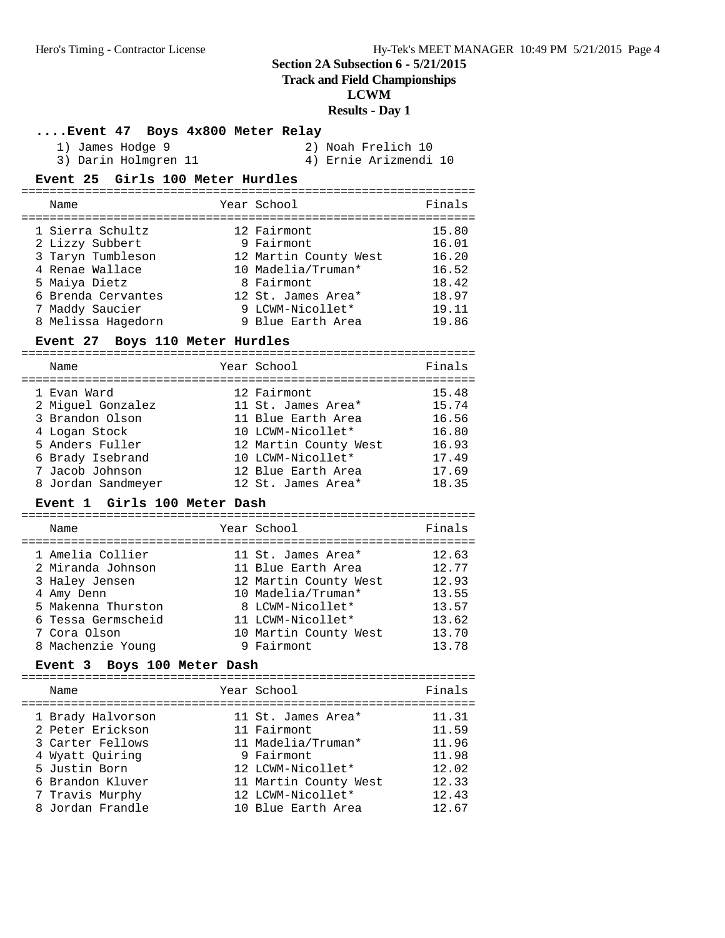# **Track and Field Championships**

**LCWM**

**Results - Day 1**

| Event 47 Boys 4x800 Meter Relay |  |  |  |
|---------------------------------|--|--|--|
|                                 |  |  |  |

| 1) James Hodge 9     | 2) Noah Frelich 10    |
|----------------------|-----------------------|
| 3) Darin Holmgren 11 | 4) Ernie Arizmendi 10 |

#### **Event 25 Girls 100 Meter Hurdles**

| Name                                | Year School               | Finals         |
|-------------------------------------|---------------------------|----------------|
| 1 Sierra Schultz<br>2 Lizzy Subbert | 12 Fairmont<br>9 Fairmont | 15.80<br>16.01 |
| 3 Taryn Tumbleson                   | 12 Martin County West     | 16.20          |
| 4 Renae Wallace                     | 10 Madelia/Truman*        | 16.52          |
| 5 Maiya Dietz                       | 8 Fairmont                | 18.42          |
| 6 Brenda Cervantes                  | 12 St. James Area*        | 18.97          |
| 7 Maddy Saucier                     | 9 LCWM-Nicollet*          | 19.11          |
| 8 Melissa Hagedorn                  | 9 Blue Earth Area         | 19.86          |

### **Event 27 Boys 110 Meter Hurdles**

| Name                                                                                    | Year School                                                                                           | Finals                                    |
|-----------------------------------------------------------------------------------------|-------------------------------------------------------------------------------------------------------|-------------------------------------------|
| 1 Evan Ward<br>2 Miquel Gonzalez<br>3 Brandon Olson<br>4 Logan Stock<br>5 Anders Fuller | 12 Fairmont<br>11 St. James Area*<br>11 Blue Earth Area<br>10 LCWM-Nicollet*<br>12 Martin County West | 15.48<br>15.74<br>16.56<br>16.80<br>16.93 |
| 6 Brady Isebrand<br>7 Jacob Johnson<br>8 Jordan Sandmeyer                               | 10 LCWM-Nicollet*<br>12 Blue Earth Area<br>12 St. James Area*                                         | 17.49<br>17.69<br>18.35                   |

## **Event 1 Girls 100 Meter Dash**

| Name                                                                                                                              | Year School                                                                                                                                               | Finals                                                      |
|-----------------------------------------------------------------------------------------------------------------------------------|-----------------------------------------------------------------------------------------------------------------------------------------------------------|-------------------------------------------------------------|
| 1 Amelia Collier<br>2 Miranda Johnson<br>3 Haley Jensen<br>4 Amy Denn<br>5 Makenna Thurston<br>6 Tessa Germscheid<br>7 Cora Olson | 11 St. James Area*<br>11 Blue Earth Area<br>12 Martin County West<br>10 Madelia/Truman*<br>8 LCWM-Nicollet*<br>11 LCWM-Nicollet*<br>10 Martin County West | 12.63<br>12.77<br>12.93<br>13.55<br>13.57<br>13.62<br>13.70 |
| 8 Machenzie Young                                                                                                                 | 9 Fairmont                                                                                                                                                | 13.78                                                       |

# **Event 3 Boys 100 Meter Dash**

| Name                                                                                                                                 | Year School                                                                                                                              | Finals                                                      |
|--------------------------------------------------------------------------------------------------------------------------------------|------------------------------------------------------------------------------------------------------------------------------------------|-------------------------------------------------------------|
| 1 Brady Halvorson<br>2 Peter Erickson<br>3 Carter Fellows<br>4 Wyatt Ouiring<br>5 Justin Born<br>6 Brandon Kluver<br>7 Travis Murphy | 11 St. James Area*<br>11 Fairmont<br>11 Madelia/Truman*<br>9 Fairmont<br>12 LCWM-Nicollet*<br>11 Martin County West<br>12 LCWM-Nicollet* | 11.31<br>11.59<br>11.96<br>11.98<br>12.02<br>12.33<br>12.43 |
| 8 Jordan Frandle                                                                                                                     | 10 Blue Earth Area                                                                                                                       | 12.67                                                       |
|                                                                                                                                      |                                                                                                                                          |                                                             |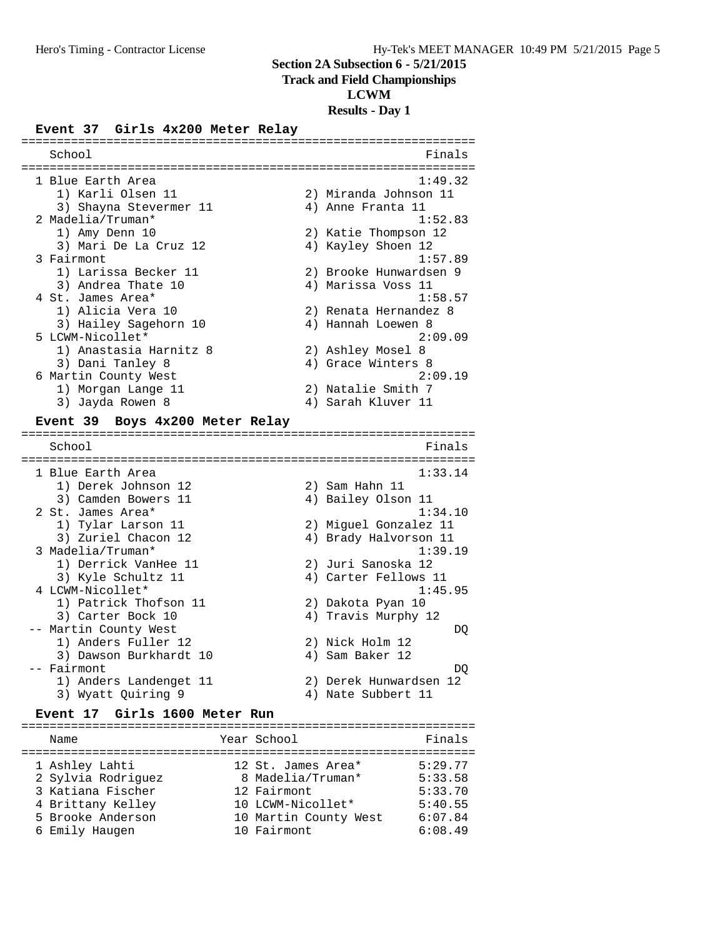#### **Track and Field Championships**

#### **LCWM**

#### **Results - Day 1**

#### **Event 37 Girls 4x200 Meter Relay**

| School                 |    | Finals                 |
|------------------------|----|------------------------|
| 1 Blue Earth Area      |    | 1:49.32                |
| 1) Karli Olsen 11      |    | 2) Miranda Johnson 11  |
| 3) Shayna Stevermer 11 |    | 4) Anne Franta 11      |
| 2 Madelia/Truman*      |    | 1:52.83                |
| 1) Amy Denn 10         |    | 2) Katie Thompson 12   |
| 3) Mari De La Cruz 12  |    | 4) Kayley Shoen 12     |
| 3 Fairmont             |    | 1:57.89                |
| 1) Larissa Becker 11   |    | 2) Brooke Hunwardsen 9 |
| 3) Andrea Thate 10     |    | 4) Marissa Voss 11     |
| 4 St. James Area*      |    | 1:58.57                |
| 1) Alicia Vera 10      |    | 2) Renata Hernandez 8  |
| 3) Hailey Sagehorn 10  |    | 4) Hannah Loewen 8     |
| 5 LCWM-Nicollet*       |    | 2:09.09                |
| 1) Anastasia Harnitz 8 |    | 2) Ashley Mosel 8      |
| 3) Dani Tanley 8       |    | 4) Grace Winters 8     |
| 6 Martin County West   |    | 2:09.19                |
| 1) Morgan Lange 11     |    | 2) Natalie Smith 7     |
| Jayda Rowen 8<br>3)    | 4) | Sarah Kluver 11        |
|                        |    |                        |

================================================================

#### **Event 39 Boys 4x200 Meter Relay**

================================================================ School **Finals** ================================================================ 1 Blue Earth Area 2012 1:33.14 1) Derek Johnson 12 2) Sam Hahn 11 3) Camden Bowers 11 (4) Bailey Olson 11 2 St. James Area\* 1:34.10 1) Tylar Larson 11 2) Miguel Gonzalez 11 3) Zuriel Chacon 12 4) Brady Halvorson 11 3 Madelia/Truman\* 1:39.19 1) Derrick VanHee 11 2) Juri Sanoska 12 3) Kyle Schultz 11 (4) Carter Fellows 11 4 LCWM-Nicollet\* 1:45.95 1) Patrick Thofson 11 2) Dakota Pyan 10 3) Carter Bock 10 4) Travis Murphy 12 -- Martin County West  $DQ$ 1) Anders Fuller 12 2) Nick Holm 12 3) Dawson Burkhardt 10 <a>
4) Sam Baker 12 -- Fairmont DQ 1) Anders Landenget 11 2) Derek Hunwardsen 12 3) Wyatt Quiring 9 4) Nate Subbert 11

#### **Event 17 Girls 1600 Meter Run**

================================================================ Name **Year School** Finals ================================================================ 1 Ashley Lahti 12 St. James Area\* 5:29.77 2 Sylvia Rodriguez 8 Madelia/Truman\* 5:33.58 3 Katiana Fischer 12 Fairmont 5:33.70 4 Brittany Kelley 10 LCWM-Nicollet\* 5:40.55 5 Brooke Anderson 10 Martin County West 6:07.84 6 Emily Haugen 10 Fairmont 6:08.49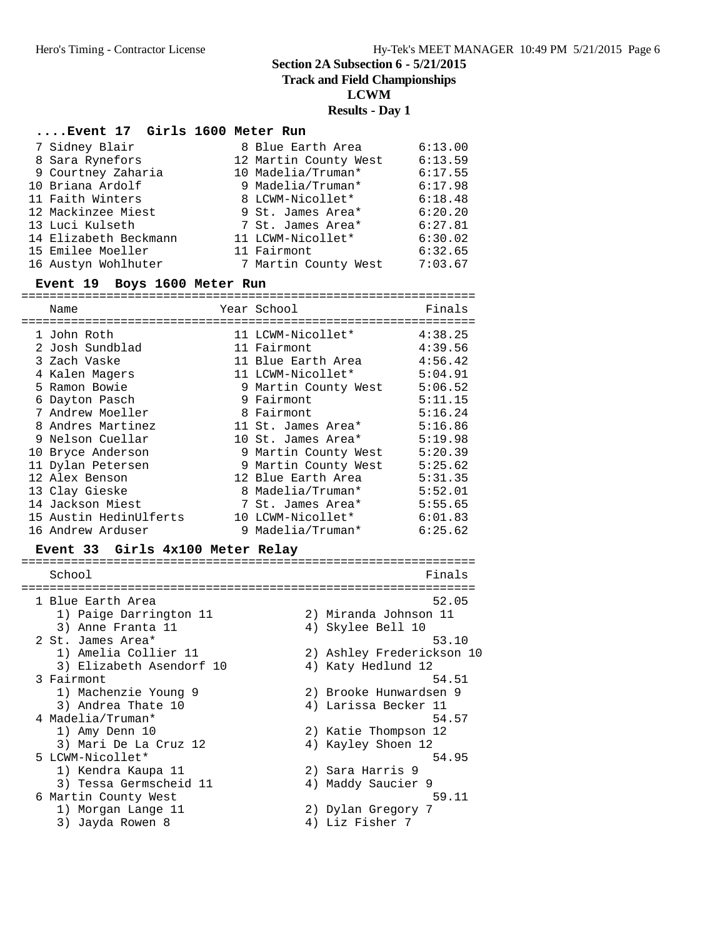**Track and Field Championships**

**LCWM**

## **Results - Day 1**

#### **....Event 17 Girls 1600 Meter Run**

| 7 Sidney Blair        | 8 Blue Earth Area     | 6:13.00 |
|-----------------------|-----------------------|---------|
| 8 Sara Rynefors       | 12 Martin County West | 6:13.59 |
| 9 Courtney Zaharia    | 10 Madelia/Truman*    | 6:17.55 |
| 10 Briana Ardolf      | 9 Madelia/Truman*     | 6:17.98 |
| 11 Faith Winters      | 8 LCWM-Nicollet*      | 6:18.48 |
| 12 Mackinzee Miest    | 9 St. James Area*     | 6:20.20 |
| 13 Luci Kulseth       | 7 St. James Area*     | 6:27.81 |
| 14 Elizabeth Beckmann | 11 LCWM-Nicollet*     | 6:30.02 |
| 15 Emilee Moeller     | 11 Fairmont           | 6:32.65 |
| 16 Austyn Wohlhuter   | 7 Martin County West  | 7:03.67 |

#### **Event 19 Boys 1600 Meter Run**

|    | Name                             | Year School          | Finals  |
|----|----------------------------------|----------------------|---------|
|    | 1 John Roth                      | 11 LCWM-Nicollet*    | 4:38.25 |
|    | 2 Josh Sundblad                  | 11 Fairmont          | 4:39.56 |
|    | 3 Zach Vaske                     | 11 Blue Earth Area   | 4:56.42 |
|    | 4 Kalen Magers                   | 11 LCWM-Nicollet*    | 5:04.91 |
|    | 5 Ramon Bowie                    | 9 Martin County West | 5:06.52 |
|    | 6 Dayton Pasch                   | 9 Fairmont           | 5:11.15 |
|    | 7 Andrew Moeller                 | 8 Fairmont           | 5:16.24 |
|    | 8 Andres Martinez                | 11 St. James Area*   | 5:16.86 |
|    | 9 Nelson Cuellar                 | 10 St. James Area*   | 5:19.98 |
| 10 | Bryce Anderson                   | 9 Martin County West | 5:20.39 |
|    | 11 Dylan Petersen                | 9 Martin County West | 5:25.62 |
|    | 12 Alex Benson                   | 12 Blue Earth Area   | 5:31.35 |
|    | 13 Clay Gieske                   | 8 Madelia/Truman*    | 5:52.01 |
|    | 14 Jackson Miest                 | 7 St. James Area*    | 5:55.65 |
|    | 15 Austin HedinUlferts           | 10 LCWM-Nicollet*    | 6:01.83 |
|    | 16 Andrew Arduser                | 9 Madelia/Truman*    | 6:25.62 |
|    | Event 33 Girls 4x100 Meter Relay |                      |         |

#### ================================================================ School **Finals** ================================================================ 1 Blue Earth Area  $52.05$  1) Paige Darrington 11 2) Miranda Johnson 11 3) Anne Franta 11 (1998) 4) Skylee Bell 10 2 St. James Area\* 53.10 1) Amelia Collier 11 2) Ashley Frederickson 10 3) Elizabeth Asendorf 10 (4) Katy Hedlund 12 3 Fairmont 54.51 1) Machenzie Young 9 2) Brooke Hunwardsen 9 3) Andrea Thate 10 (4) Larissa Becker 11 4 Madelia/Truman\* 54.57<br>1) Amy Denn 10 3) Katie Thompson 12 1) Amy Denn 10 2) Katie Thompson 12 3) Mari De La Cruz 12 (4) Kayley Shoen 12 5 LCWM-Nicollet\* 54.95 1) Kendra Kaupa 11 2) Sara Harris 9 3) Tessa Germscheid 11 <a>> 4) Maddy Saucier 9 6 Martin County West 59.11 1) Morgan Lange 11 2) Dylan Gregory 7 3) Jayda Rowen 8 (4) Liz Fisher 7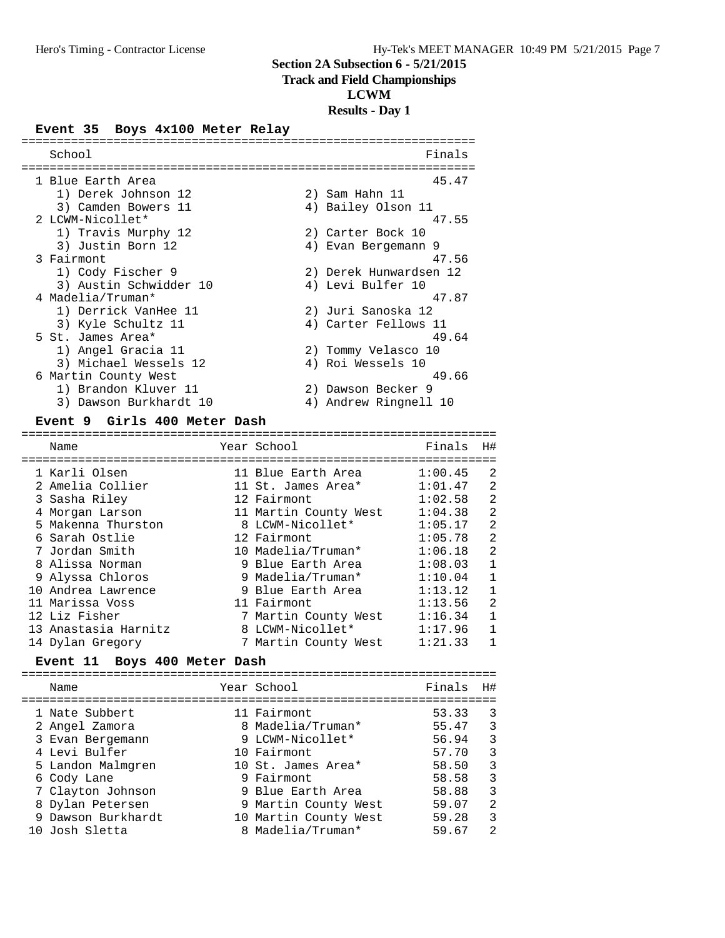#### **Track and Field Championships**

**LCWM**

#### **Results - Day 1**

#### **Event 35 Boys 4x100 Meter Relay**

| School                 |    | Finals                 |
|------------------------|----|------------------------|
| 1 Blue Earth Area      |    | 45.47                  |
| 1) Derek Johnson 12    |    | 2) Sam Hahn 11         |
| 3) Camden Bowers 11    |    | 4) Bailey Olson 11     |
| 2 LCWM-Nicollet*       |    | 47.55                  |
| 1) Travis Murphy 12    |    | 2) Carter Bock 10      |
| 3) Justin Born 12      |    | 4) Evan Bergemann 9    |
| 3 Fairmont             |    | 47.56                  |
| 1) Cody Fischer 9      |    | 2) Derek Hunwardsen 12 |
| 3) Austin Schwidder 10 |    | 4) Levi Bulfer 10      |
| 4 Madelia/Truman*      |    | 47.87                  |
| 1) Derrick VanHee 11   |    | 2) Juri Sanoska 12     |
| 3) Kyle Schultz 11     |    | 4) Carter Fellows 11   |
| 5 St. James Area*      |    | 49.64                  |
| 1) Angel Gracia 11     |    | 2) Tommy Velasco 10    |
| 3) Michael Wessels 12  |    | 4) Roi Wessels 10      |
| 6 Martin County West   |    | 49.66                  |
| 1) Brandon Kluver 11   |    | 2) Dawson Becker 9     |
| 3) Dawson Burkhardt 10 | 4) | Andrew Ringnell 10     |

#### **Event 9 Girls 400 Meter Dash**

=================================================================== Name Year School Finals H# =================================================================== 1 Karli Olsen 11 Blue Earth Area 1:00.45 2 2 Amelia Collier 11 St. James Area\* 1:01.47 2 3 Sasha Riley 12 Fairmont 1:02.58 2 4 Morgan Larson 11 Martin County West 1:04.38 2 5 Makenna Thurston 8 LCWM-Nicollet\* 1:05.17 2 6 Sarah Ostlie 12 Fairmont 1:05.78 2 7 Jordan Smith 10 Madelia/Truman\* 1:06.18 2 8 Alissa Norman 9 Blue Earth Area 1:08.03 1 9 Alyssa Chloros 9 Madelia/Truman\* 1:10.04 1 10 Andrea Lawrence 9 Blue Earth Area 1:13.12 1 11 Marissa Voss 11 Fairmont 1:13.56 2 12 Liz Fisher 7 Martin County West 1:16.34 1 13 Anastasia Harnitz 8 LCWM-Nicollet\* 1:17.96 1 14 Dylan Gregory 7 Martin County West 1:21.33 1

## **Event 11 Boys 400 Meter Dash**

|  | Name               | Year School           | Finals | H#             |
|--|--------------------|-----------------------|--------|----------------|
|  | 1 Nate Subbert     | 11 Fairmont           | 53.33  | 3              |
|  | 2 Angel Zamora     | 8 Madelia/Truman*     | 55.47  | 3              |
|  | 3 Evan Bergemann   | 9 LCWM-Nicollet*      | 56.94  | 3              |
|  | 4 Levi Bulfer      | 10 Fairmont           | 57.70  | 3              |
|  | 5 Landon Malmgren  | 10 St. James Area*    | 58.50  | 3              |
|  | 6 Cody Lane        | 9 Fairmont            | 58.58  | 3              |
|  | 7 Clayton Johnson  | 9 Blue Earth Area     | 58.88  | 3              |
|  | 8 Dylan Petersen   | 9 Martin County West  | 59.07  | $\overline{2}$ |
|  | 9 Dawson Burkhardt | 10 Martin County West | 59.28  | 3              |
|  | 10 Josh Sletta     | 8 Madelia/Truman*     | 59.67  | $\mathfrak{D}$ |
|  |                    |                       |        |                |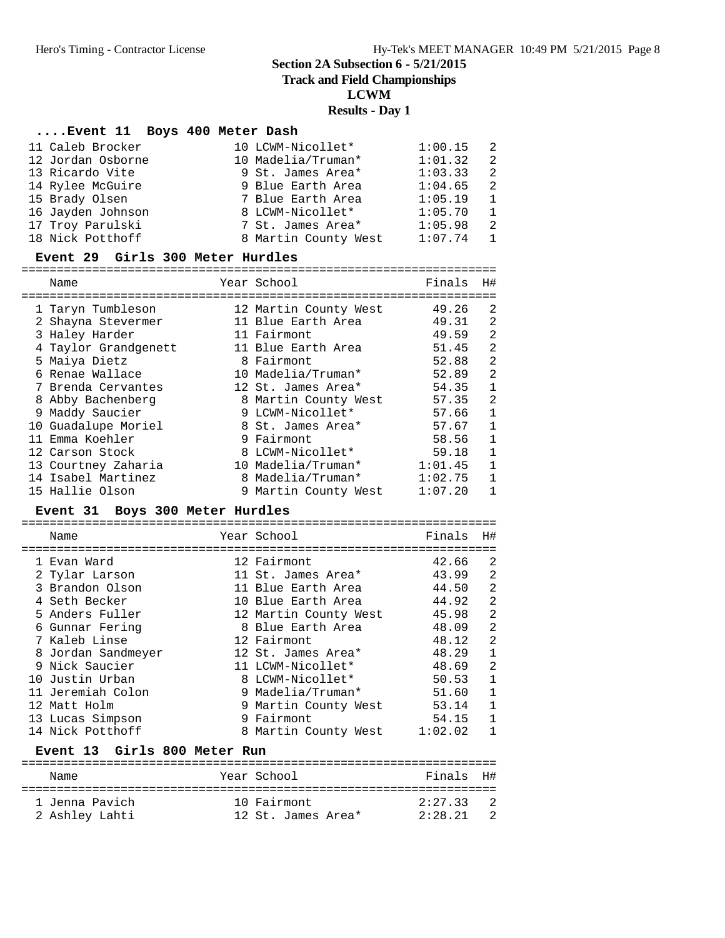**Track and Field Championships**

**LCWM**

# **Results - Day 1**

# **....Event 11 Boys 400 Meter Dash**

| 11 Caleb Brocker  | 10 LCWM-Nicollet*    | 1:00.15 | - 2            |
|-------------------|----------------------|---------|----------------|
| 12 Jordan Osborne | 10 Madelia/Truman*   | 1:01.32 | $\overline{2}$ |
| 13 Ricardo Vite   | 9 St. James Area*    | 1:03.33 | - 2            |
| 14 Rylee McGuire  | 9 Blue Earth Area    | 1:04.65 | $\overline{2}$ |
| 15 Brady Olsen    | 7 Blue Earth Area    | 1:05.19 | $\overline{1}$ |
| 16 Jayden Johnson | 8 LCWM-Nicollet*     | 1:05.70 | $\overline{1}$ |
| 17 Troy Parulski  | 7 St. James Area*    | 1:05.98 | - 2            |
| 18 Nick Potthoff  | 8 Martin County West | 1:07.74 | -1             |

#### **Event 29 Girls 300 Meter Hurdles**

===================================================================

| Name                 | Year School           | Finals  | H#           |
|----------------------|-----------------------|---------|--------------|
| 1 Taryn Tumbleson    | 12 Martin County West | 49.26   | 2            |
| 2 Shayna Stevermer   | 11 Blue Earth Area    | 49.31   | 2            |
| 3 Haley Harder       | 11 Fairmont           | 49.59   | 2            |
| 4 Taylor Grandgenett | 11 Blue Earth Area    | 51.45   | 2            |
| 5 Maiya Dietz        | 8 Fairmont            | 52.88   | 2            |
| 6 Renae Wallace      | 10 Madelia/Truman*    | 52.89   | 2            |
| 7 Brenda Cervantes   | 12 St. James Area*    | 54.35   | $\mathbf{1}$ |
| 8 Abby Bachenberg    | 8 Martin County West  | 57.35   | 2            |
| 9 Maddy Saucier      | 9 LCWM-Nicollet*      | 57.66   | 1            |
| 10 Guadalupe Moriel  | 8 St. James Area*     | 57.67   | $\mathbf{1}$ |
| 11 Emma Koehler      | 9 Fairmont            | 58.56   | $\mathbf{1}$ |
| 12 Carson Stock      | 8 LCWM-Nicollet*      | 59.18   | 1            |
| 13 Courtney Zaharia  | 10 Madelia/Truman*    | 1:01.45 | $\mathbf{1}$ |
| 14 Isabel Martinez   | 8 Madelia/Truman*     | 1:02.75 | $\mathbf{1}$ |
| 15 Hallie Olson      | 9 Martin County West  | 1:07.20 | 1            |

# **Event 31 Boys 300 Meter Hurdles**

|  | Name               | Year School           | Finals  | H#             |
|--|--------------------|-----------------------|---------|----------------|
|  |                    |                       |         |                |
|  | 1 Evan Ward        | 12 Fairmont           | 42.66   | 2              |
|  | 2 Tylar Larson     | 11 St. James Area*    | 43.99   | 2              |
|  | 3 Brandon Olson    | 11 Blue Earth Area    | 44.50   | 2              |
|  | 4 Seth Becker      | 10 Blue Earth Area    | 44.92   | $\overline{2}$ |
|  | 5 Anders Fuller    | 12 Martin County West | 45.98   | 2              |
|  | 6 Gunnar Fering    | 8 Blue Earth Area     | 48.09   | $\overline{2}$ |
|  | 7 Kaleb Linse      | 12 Fairmont           | 48.12   | $\overline{2}$ |
|  | 8 Jordan Sandmeyer | 12 St. James Area*    | 48.29   | 1              |
|  | 9 Nick Saucier     | 11 LCWM-Nicollet*     | 48.69   | 2              |
|  | 10 Justin Urban    | 8 LCWM-Nicollet*      | 50.53   | $\mathbf 1$    |
|  | 11 Jeremiah Colon  | 9 Madelia/Truman*     | 51.60   | 1              |
|  | 12 Matt Holm       | 9 Martin County West  | 53.14   | $\mathbf{1}$   |
|  | 13 Lucas Simpson   | 9 Fairmont            | 54.15   | 1              |
|  | 14 Nick Potthoff   | 8 Martin County West  | 1:02.02 | 1.             |
|  |                    |                       |         |                |

#### Event 13 Girls 800 Meter Run

| Name           | Year School        | Finals H# |                |
|----------------|--------------------|-----------|----------------|
| 1 Jenna Pavich | 10 Fairmont        | 2:27 33   | $\overline{2}$ |
| 2 Ashlev Lahti | 12 St. James Area* | 2:28.21   | $\overline{2}$ |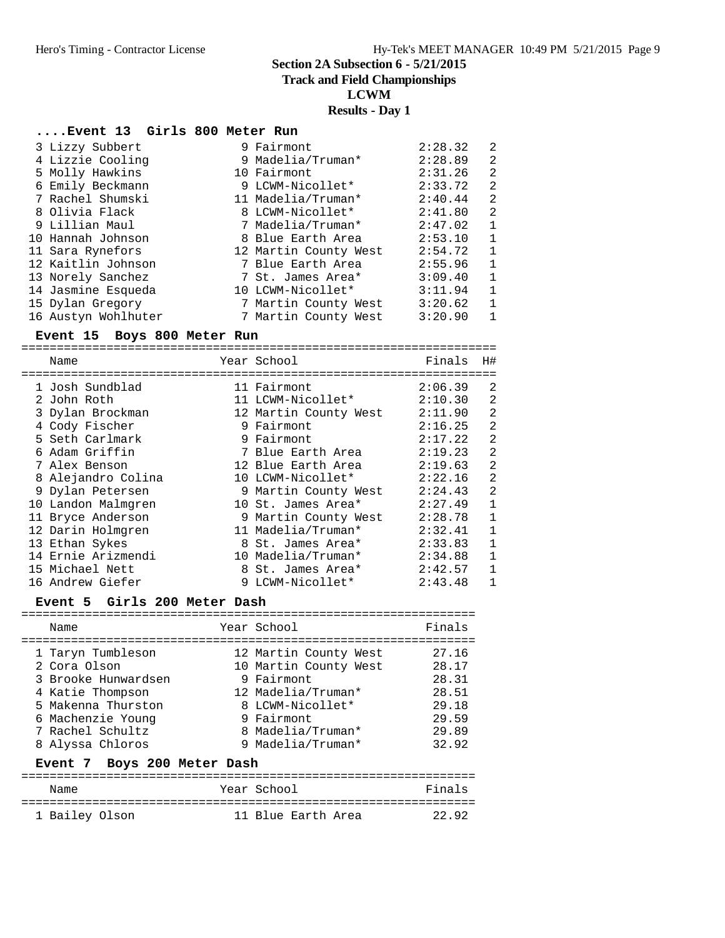**Track and Field Championships**

**LCWM**

# **Results - Day 1**

# **....Event 13 Girls 800 Meter Run**

| 3 Lizzy Subbert     | 9 Fairmont            | 2:28.32 | 2              |
|---------------------|-----------------------|---------|----------------|
| 4 Lizzie Cooling    | 9 Madelia/Truman*     | 2:28.89 | 2              |
| 5 Molly Hawkins     | 10 Fairmont           | 2:31.26 | 2              |
| 6 Emily Beckmann    | 9 LCWM-Nicollet*      | 2:33.72 | 2              |
| 7 Rachel Shumski    | 11 Madelia/Truman*    | 2:40.44 | 2              |
| 8 Olivia Flack      | 8 LCWM-Nicollet*      | 2:41.80 | 2              |
| 9 Lillian Maul      | 7 Madelia/Truman*     | 2:47.02 | 1              |
| 10 Hannah Johnson   | 8 Blue Earth Area     | 2:53.10 | $\mathbf{1}$   |
| 11 Sara Rynefors    | 12 Martin County West | 2:54.72 | 1              |
| 12 Kaitlin Johnson  | 7 Blue Earth Area     | 2:55.96 | $\mathbf{1}$   |
| 13 Norely Sanchez   | 7 St. James Area*     | 3:09.40 | $\overline{1}$ |
| 14 Jasmine Esqueda  | 10 LCWM-Nicollet*     | 3:11.94 | $\mathbf 1$    |
| 15 Dylan Gregory    | 7 Martin County West  | 3:20.62 | 1              |
| 16 Austyn Wohlhuter | 7 Martin County West  | 3:20.90 | $\mathbf{1}$   |

#### **Event 15 Boys 800 Meter Run**

===================================================================

| Name               | Year School           | Finals  | H#             |
|--------------------|-----------------------|---------|----------------|
| 1 Josh Sundblad    | 11 Fairmont           | 2:06.39 | 2              |
| 2 John Roth        | 11 LCWM-Nicollet*     | 2:10.30 | 2              |
| 3 Dylan Brockman   | 12 Martin County West | 2:11.90 | 2              |
| 4 Cody Fischer     | 9 Fairmont            | 2:16.25 | 2              |
| 5 Seth Carlmark    | 9 Fairmont            | 2:17.22 | 2              |
| 6 Adam Griffin     | 7 Blue Earth Area     | 2:19.23 | 2              |
| 7 Alex Benson      | 12 Blue Earth Area    | 2:19.63 | $\overline{2}$ |
| 8 Alejandro Colina | 10 LCWM-Nicollet*     | 2:22.16 | 2              |
| 9 Dylan Petersen   | 9 Martin County West  | 2:24.43 | 2              |
| 10 Landon Malmgren | 10 St. James Area*    | 2:27.49 | 1              |
| 11 Bryce Anderson  | 9 Martin County West  | 2:28.78 | 1              |
| 12 Darin Holmgren  | 11 Madelia/Truman*    | 2:32.41 | 1              |
| 13 Ethan Sykes     | 8 St. James Area*     | 2:33.83 | $\mathbf{1}$   |
| 14 Ernie Arizmendi | 10 Madelia/Truman*    | 2:34.88 | $\mathbf{1}$   |
| 15 Michael Nett    | 8 St. James Area*     | 2:42.57 | $\mathbf{1}$   |
| 16 Andrew Giefer   | 9 LCWM-Nicollet*      | 2:43.48 | $\mathbf{1}$   |

| Event 5 Girls 200 Meter Dash                                                                                                                                    |                                                                                                                                                                |                                                                      |
|-----------------------------------------------------------------------------------------------------------------------------------------------------------------|----------------------------------------------------------------------------------------------------------------------------------------------------------------|----------------------------------------------------------------------|
| Name                                                                                                                                                            | Year School                                                                                                                                                    | Finals                                                               |
| 1 Taryn Tumbleson<br>2 Cora Olson<br>3 Brooke Hunwardsen<br>4 Katie Thompson<br>5 Makenna Thurston<br>6 Machenzie Young<br>7 Rachel Schultz<br>8 Alyssa Chloros | 12 Martin County West<br>10 Martin County West<br>9 Fairmont<br>12 Madelia/Truman*<br>8 LCWM-Nicollet*<br>9 Fairmont<br>8 Madelia/Truman*<br>9 Madelia/Truman* | 27.16<br>28.17<br>28.31<br>28.51<br>29.18<br>29.59<br>29.89<br>32.92 |
| Event 7 Boys 200 Meter Dash                                                                                                                                     |                                                                                                                                                                |                                                                      |
| Name                                                                                                                                                            | Year School                                                                                                                                                    | Finals                                                               |

================================================================ 1 Bailey Olson 11 Blue Earth Area 22.92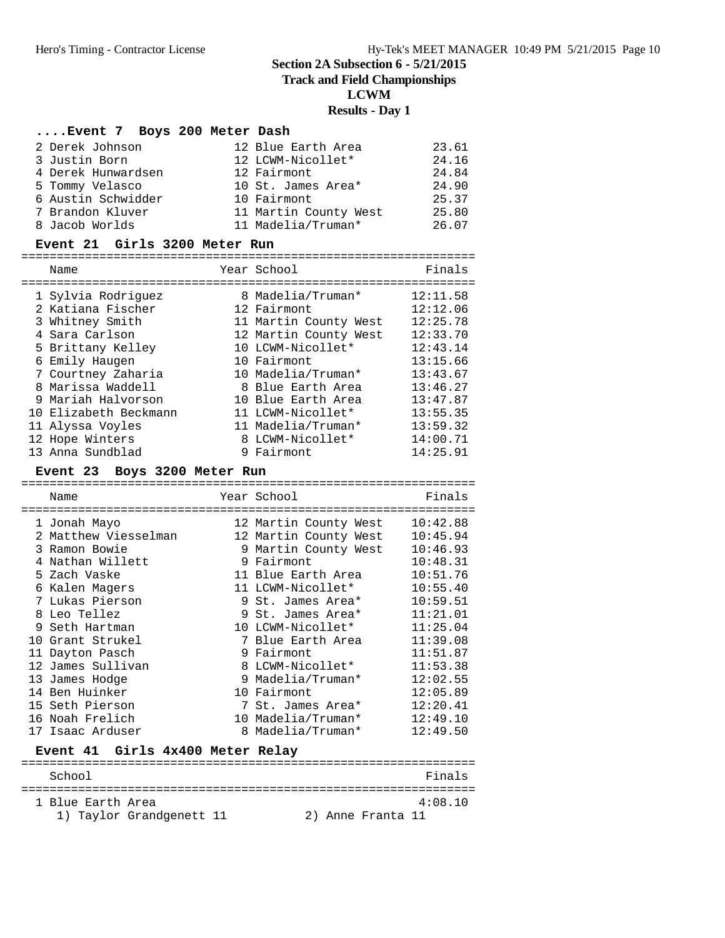**Track and Field Championships**

**LCWM**

#### **Results - Day 1**

#### **....Event 7 Boys 200 Meter Dash**

| 2 Derek Johnson    | 12 Blue Earth Area    | 23.61 |
|--------------------|-----------------------|-------|
| 3 Justin Born      | 12 LCWM-Nicollet*     | 24.16 |
| 4 Derek Hunwardsen | 12 Fairmont           | 24.84 |
| 5 Tommy Velasco    | 10 St. James Area*    | 24.90 |
| 6 Austin Schwidder | 10 Fairmont           | 25.37 |
| 7 Brandon Kluver   | 11 Martin County West | 25.80 |
| 8 Jacob Worlds     | 11 Madelia/Truman*    | 26.07 |

#### **Event 21 Girls 3200 Meter Run**

| Name                  | Year School           | Finals   |
|-----------------------|-----------------------|----------|
| 1 Sylvia Rodriguez    | 8 Madelia/Truman*     | 12:11.58 |
|                       |                       |          |
| 2 Katiana Fischer     | 12 Fairmont           | 12:12.06 |
| 3 Whitney Smith       | 11 Martin County West | 12:25.78 |
| 4 Sara Carlson        | 12 Martin County West | 12:33.70 |
| 5 Brittany Kelley     | 10 LCWM-Nicollet*     | 12:43.14 |
| 6 Emily Haugen        | 10 Fairmont           | 13:15.66 |
| 7 Courtney Zaharia    | 10 Madelia/Truman*    | 13:43.67 |
| 8 Marissa Waddell     | 8 Blue Earth Area     | 13:46.27 |
| 9 Mariah Halvorson    | 10 Blue Earth Area    | 13:47.87 |
| 10 Elizabeth Beckmann | 11 LCWM-Nicollet*     | 13:55.35 |
| 11 Alyssa Voyles      | 11 Madelia/Truman*    | 13:59.32 |
| 12 Hope Winters       | 8 LCWM-Nicollet*      | 14:00.71 |
| 13 Anna Sundblad      | 9 Fairmont            | 14:25.91 |

#### **Event 23 Boys 3200 Meter Run**

================================================================ Name Year School Finals ================================================================ 1 Jonah Mayo 12 Martin County West 10:42.88 2 Matthew Viesselman 12 Martin County West 10:45.94 3 Ramon Bowie 9 Martin County West 10:46.93 4 Nathan Willett 9 Fairmont 10:48.31 5 Zach Vaske 11 Blue Earth Area 10:51.76 6 Kalen Magers 11 LCWM-Nicollet\* 10:55.40 7 Lukas Pierson 9 St. James Area\* 10:59.51 8 Leo Tellez 9 St. James Area\* 11:21.01 9 Seth Hartman 10 LCWM-Nicollet\* 11:25.04 10 Grant Strukel 7 Blue Earth Area 11:39.08 11 Dayton Pasch 9 Fairmont 11:51.87 12 James Sullivan 8 LCWM-Nicollet\* 11:53.38 13 James Hodge 9 Madelia/Truman\* 12:02.55 14 Ben Huinker 10 Fairmont 12:05.89 15 Seth Pierson 7 St. James Area\* 12:20.41 16 Noah Frelich 10 Madelia/Truman\* 12:49.10 17 Isaac Arduser 8 Madelia/Truman\* 12:49.50 **Event 41 Girls 4x400 Meter Relay** ================================================================

| School            |                          |  |                   | Finals  |
|-------------------|--------------------------|--|-------------------|---------|
| 1 Blue Earth Area |                          |  |                   | 4:08.10 |
|                   | 1) Taylor Grandgenett 11 |  | 2) Anne Franta 11 |         |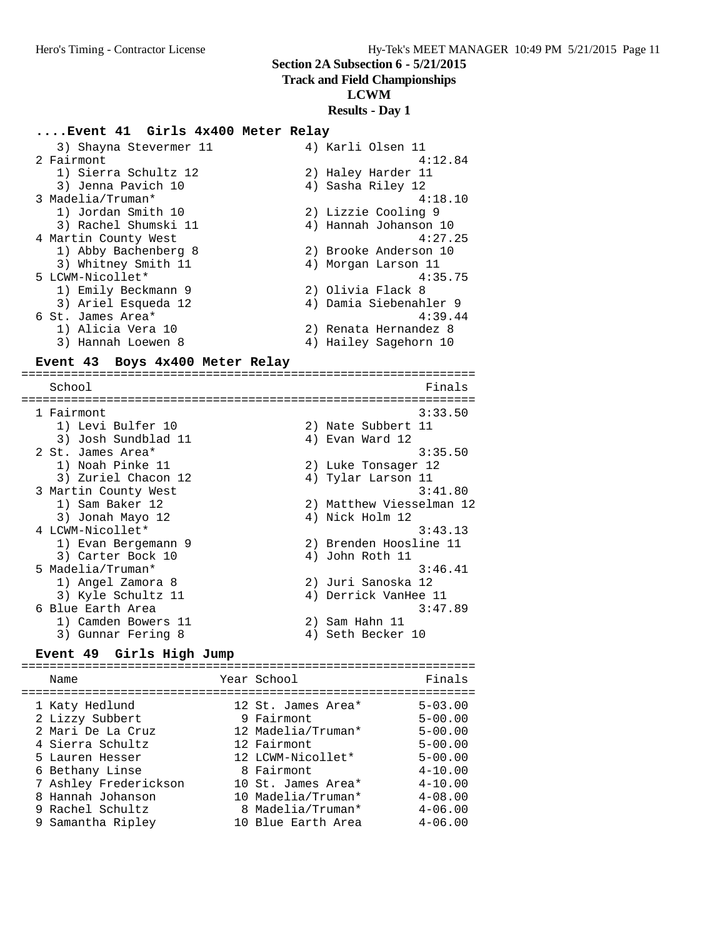#### **Track and Field Championships**

#### **LCWM**

#### **Results - Day 1**

#### **....Event 41 Girls 4x400 Meter Relay**

| 3) Shayna Stevermer 11 | 4) Karli Olsen 11      |
|------------------------|------------------------|
| 2 Fairmont             | 4:12.84                |
| 1) Sierra Schultz 12   | 2) Haley Harder 11     |
| 3) Jenna Pavich 10     | 4) Sasha Riley 12      |
| 3 Madelia/Truman*      | 4:18.10                |
| 1) Jordan Smith 10     | 2) Lizzie Cooling 9    |
| 3) Rachel Shumski 11   | 4) Hannah Johanson 10  |
| 4 Martin County West   | 4:27.25                |
| 1) Abby Bachenberg 8   | 2) Brooke Anderson 10  |
| 3) Whitney Smith 11    | 4) Morgan Larson 11    |
| 5 LCWM-Nicollet*       | 4:35.75                |
| 1) Emily Beckmann 9    | 2) Olivia Flack 8      |
| 3) Ariel Esqueda 12    | 4) Damia Siebenahler 9 |
| 6 St. James Area*      | 4:39.44                |
| 1) Alicia Vera 10      | 2) Renata Hernandez 8  |
| 3) Hannah Loewen 8     | 4) Hailey Sagehorn 10  |

#### **Event 43 Boys 4x400 Meter Relay**

================================================================ School Finals ================================================================ 1 Fairmont 3:33.50 1) Levi Bulfer 10 2) Nate Subbert 11 3) Josh Sundblad 11 (4) 4) Evan Ward 12 2 St. James Area\* 3:35.50 1) Noah Pinke 11 2) Luke Tonsager 12 3) Zuriel Chacon 12 (4) Tylar Larson 11 3 Martin County West 3:41.80 1) Sam Baker 12 2) Matthew Viesselman 12 3) Sam Baker 12 (1) Sam Baker 12 (1) and the Viesselman 12<br>3) Jonah Mayo 12 (1) 4) Nick Holm 12 4 LCWM-Nicollet\* 3:43.13 1) Evan Bergemann 9 2) Brenden Hoosline 11 3) Carter Bock 10 (4) John Roth 11 5 Madelia/Truman\* 3:46.41 1) Angel Zamora 8 2) Juri Sanoska 12 3) Kyle Schultz 11 (4) Derrick VanHee 11 6 Blue Earth Area 3:47.89 1) Camden Bowers 11 (2) 2) Sam Hahn 11 3) Gunnar Fering 8 4) Seth Becker 10

# **Event 49 Girls High Jump**

================================================================ Name **The School School Finals** ================================================================ 1 Katy Hedlund 12 St. James Area\* 5-03.00 2 Lizzy Subbert 9 Fairmont 5-00.00 2 Mari De La Cruz 12 Madelia/Truman\* 5-00.00 4 Sierra Schultz 12 Fairmont 5-00.00 5 Lauren Hesser 12 LCWM-Nicollet\* 5-00.00 6 Bethany Linse 8 Fairmont 4-10.00 7 Ashley Frederickson 10 St. James Area\* 4-10.00 8 Hannah Johanson 10 Madelia/Truman\* 4-08.00 9 Rachel Schultz 8 Madelia/Truman\* 4-06.00 9 Samantha Ripley 10 Blue Earth Area 4-06.00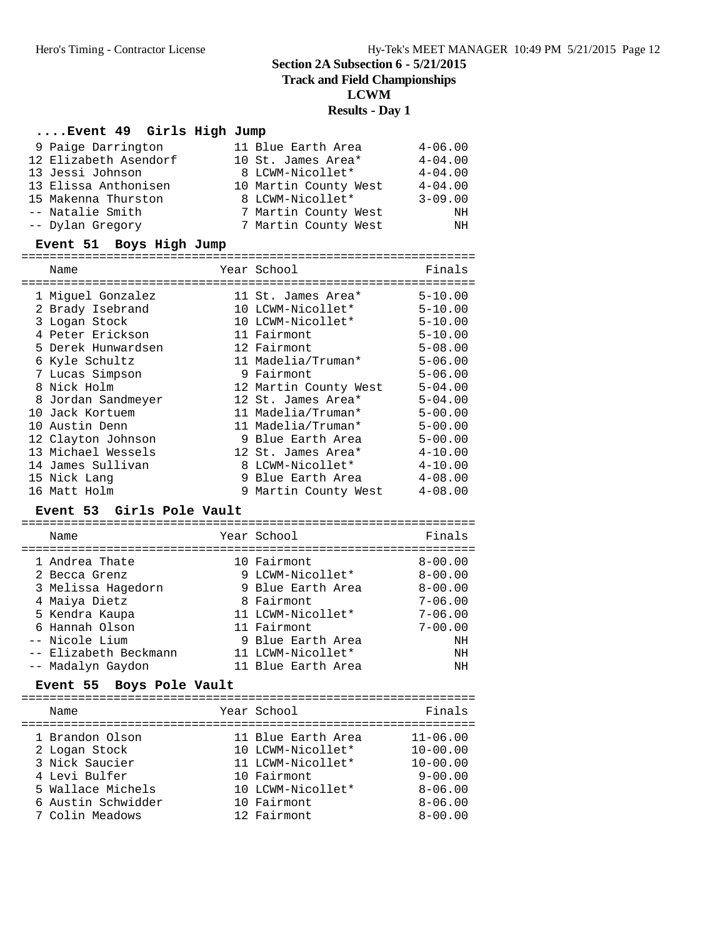**Track and Field Championships**

**LCWM**

# **Results - Day 1**

# **....Event 49 Girls High Jump**

| 9 Paige Darrington    | 11 Blue Earth Area    | $4 - 06.00$ |
|-----------------------|-----------------------|-------------|
| 12 Elizabeth Asendorf | 10 St. James Area*    | $4 - 04.00$ |
| 13 Jessi Johnson      | 8 LCWM-Nicollet*      | $4 - 04.00$ |
| 13 Elissa Anthonisen  | 10 Martin County West | $4 - 04.00$ |
| 15 Makenna Thurston   | 8 LCWM-Nicollet*      | $3 - 09.00$ |
| -- Natalie Smith      | 7 Martin County West  | ΝH          |
| -- Dylan Gregory      | 7 Martin County West  | ΝH          |

# **Event 51 Boys High Jump**

|  | Name               | Year School           | Finals      |
|--|--------------------|-----------------------|-------------|
|  | 1 Miquel Gonzalez  | 11 St. James Area*    | $5 - 10.00$ |
|  | 2 Brady Isebrand   | 10 LCWM-Nicollet*     | $5 - 10.00$ |
|  | 3 Logan Stock      | 10 LCWM-Nicollet*     | $5 - 10.00$ |
|  | 4 Peter Erickson   | 11 Fairmont           | $5 - 10.00$ |
|  | 5 Derek Hunwardsen | 12 Fairmont           | $5 - 08.00$ |
|  | 6 Kyle Schultz     | 11 Madelia/Truman*    | $5 - 06.00$ |
|  | 7 Lucas Simpson    | 9 Fairmont            | $5 - 06.00$ |
|  | 8 Nick Holm        | 12 Martin County West | $5 - 04.00$ |
|  | 8 Jordan Sandmeyer | 12 St. James Area*    | $5 - 04.00$ |
|  | 10 Jack Kortuem    | 11 Madelia/Truman*    | $5 - 00.00$ |
|  | 10 Austin Denn     | 11 Madelia/Truman*    | $5 - 00.00$ |
|  | 12 Clayton Johnson | 9 Blue Earth Area     | $5 - 00.00$ |
|  | 13 Michael Wessels | 12 St. James Area*    | $4 - 10.00$ |
|  | 14 James Sullivan  | 8 LCWM-Nicollet*      | $4 - 10.00$ |
|  | 15 Nick Lang       | 9 Blue Earth Area     | $4 - 08.00$ |
|  | 16 Matt Holm       | 9 Martin County West  | $4 - 08.00$ |
|  |                    |                       |             |

## **Event 53 Girls Pole Vault**

| Name                  | Year School        | Finals      |
|-----------------------|--------------------|-------------|
| 1 Andrea Thate        | 10 Fairmont        | $8 - 00.00$ |
| 2 Becca Grenz         | 9 LCWM-Nicollet*   | $8 - 00.00$ |
| 3 Melissa Hagedorn    | 9 Blue Earth Area  | $8 - 00.00$ |
| 4 Maiya Dietz         | 8 Fairmont         | $7 - 06.00$ |
| 5 Kendra Kaupa        | 11 LCWM-Nicollet*  | $7 - 06.00$ |
| 6 Hannah Olson        | 11 Fairmont        | $7 - 00.00$ |
| -- Nicole Lium        | 9 Blue Earth Area  | NΗ          |
| -- Elizabeth Beckmann | 11 LCWM-Nicollet*  | NH          |
| -- Madalyn Gaydon     | 11 Blue Earth Area | NΗ          |

# **Event 55 Boys Pole Vault**

| Name                                                                                                                              | Year School                                                                                                                    | Finals                                                                                                   |
|-----------------------------------------------------------------------------------------------------------------------------------|--------------------------------------------------------------------------------------------------------------------------------|----------------------------------------------------------------------------------------------------------|
| 1 Brandon Olson<br>2 Logan Stock<br>3 Nick Saucier<br>4 Levi Bulfer<br>5 Wallace Michels<br>6 Austin Schwidder<br>7 Colin Meadows | 11 Blue Earth Area<br>10 LCWM-Nicollet*<br>11 LCWM-Nicollet*<br>10 Fairmont<br>10 LCWM-Nicollet*<br>10 Fairmont<br>12 Fairmont | $11 - 06.00$<br>$10 - 00.00$<br>$10 - 00.00$<br>$9 - 00.00$<br>$8 - 06.00$<br>$8 - 06.00$<br>$8 - 00.00$ |
|                                                                                                                                   |                                                                                                                                |                                                                                                          |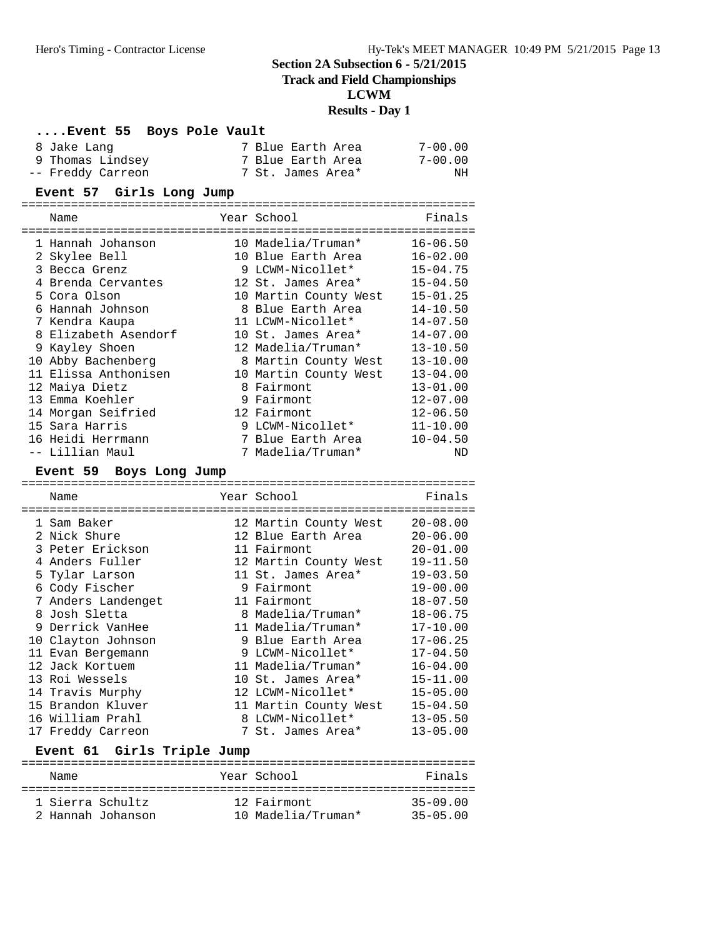#### **Track and Field Championships**

**LCWM**

#### **Results - Day 1**

#### **....Event 55 Boys Pole Vault**

| 8 Jake Lanq       | 7 Blue Earth Area | $7 - 00.00$ |
|-------------------|-------------------|-------------|
| 9 Thomas Lindsey  | 7 Blue Earth Area | $7 - 00.00$ |
| -- Freddy Carreon | 7 St. James Area* | ΝH          |

#### **Event 57 Girls Long Jump**

|   | Name                 |  | Year School           | Finals       |  |  |  |
|---|----------------------|--|-----------------------|--------------|--|--|--|
|   |                      |  |                       |              |  |  |  |
|   | 1 Hannah Johanson    |  | 10 Madelia/Truman*    | $16 - 06.50$ |  |  |  |
|   | 2 Skylee Bell        |  | 10 Blue Earth Area    | $16 - 02.00$ |  |  |  |
|   | 3 Becca Grenz        |  | 9 LCWM-Nicollet*      | $15 - 04.75$ |  |  |  |
|   | 4 Brenda Cervantes   |  | 12 St. James Area*    | $15 - 04.50$ |  |  |  |
|   | 5 Cora Olson         |  | 10 Martin County West | $15 - 01.25$ |  |  |  |
|   | 6 Hannah Johnson     |  | 8 Blue Earth Area     | $14 - 10.50$ |  |  |  |
|   | 7 Kendra Kaupa       |  | 11 LCWM-Nicollet*     | $14 - 07.50$ |  |  |  |
|   | 8 Elizabeth Asendorf |  | 10 St. James Area*    | $14 - 07.00$ |  |  |  |
| 9 | Kayley Shoen         |  | 12 Madelia/Truman*    | $13 - 10.50$ |  |  |  |
|   | 10 Abby Bachenberg   |  | 8 Martin County West  | $13 - 10.00$ |  |  |  |
|   | 11 Elissa Anthonisen |  | 10 Martin County West | $13 - 04.00$ |  |  |  |
|   | 12 Maiya Dietz       |  | 8 Fairmont            | $13 - 01.00$ |  |  |  |
|   | 13 Emma Koehler      |  | 9 Fairmont            | $12 - 07.00$ |  |  |  |
|   | 14 Morgan Seifried   |  | 12 Fairmont           | $12 - 06.50$ |  |  |  |
|   | 15 Sara Harris       |  | 9 LCWM-Nicollet*      | $11 - 10.00$ |  |  |  |
|   | 16 Heidi Herrmann    |  | 7 Blue Earth Area     | $10 - 04.50$ |  |  |  |
|   | -- Lillian Maul      |  | 7 Madelia/Truman*     | ND           |  |  |  |

#### **Event 59 Boys Long Jump**

================================================================ Name Year School Finals ================================================================ 1 Sam Baker 12 Martin County West 20-08.00 2 Nick Shure 12 Blue Earth Area 20-06.00 3 Peter Erickson 11 Fairmont 20-01.00 4 Anders Fuller 12 Martin County West 19-11.50 5 Tylar Larson 11 St. James Area\* 19-03.50 6 Cody Fischer 9 Fairmont 19-00.00 7 Anders Landenget 11 Fairmont 18-07.50 8 Josh Sletta 8 Madelia/Truman\* 18-06.75 9 Derrick VanHee 11 Madelia/Truman\* 17-10.00 10 Clayton Johnson 9 Blue Earth Area 17-06.25 11 Evan Bergemann 9 LCWM-Nicollet\* 17-04.50 12 Jack Kortuem 11 Madelia/Truman\* 16-04.00 13 Roi Wessels 10 St. James Area\* 15-11.00 14 Travis Murphy 12 LCWM-Nicollet\* 15-05.00 15 Brandon Kluver 11 Martin County West 15-04.50 16 William Prahl 8 LCWM-Nicollet\* 13-05.50 17 Freddy Carreon 7 St. James Area\* 13-05.00

|                  | Event 61 Girls Triple Jump |  |                                   |                              |
|------------------|----------------------------|--|-----------------------------------|------------------------------|
| Name             |                            |  | Year School                       | Finals                       |
| 1 Sierra Schultz | 2 Hannah Johanson          |  | 12 Fairmont<br>10 Madelia/Truman* | $35 - 09.00$<br>$35 - 05.00$ |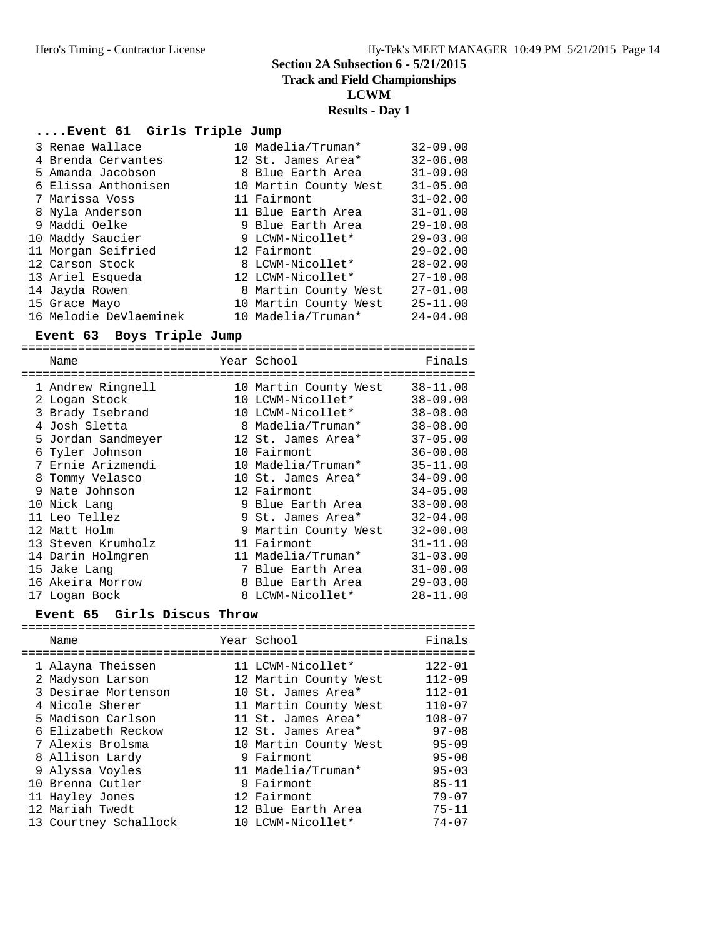**Track and Field Championships**

**LCWM**

#### **Results - Day 1**

#### **....Event 61 Girls Triple Jump**

| 3 Renae Wallace        | 10 Madelia/Truman*    | $32 - 09.00$ |
|------------------------|-----------------------|--------------|
| 4 Brenda Cervantes     | 12 St. James Area*    | $32 - 06.00$ |
| 5 Amanda Jacobson      | 8 Blue Earth Area     | $31 - 09.00$ |
| 6 Elissa Anthonisen    | 10 Martin County West | $31 - 05.00$ |
| 7 Marissa Voss         | 11 Fairmont           | $31 - 02.00$ |
| 8 Nyla Anderson        | 11 Blue Earth Area    | $31 - 01.00$ |
| 9 Maddi Oelke          | 9 Blue Earth Area     | $29 - 10.00$ |
| 10 Maddy Saucier       | 9 LCWM-Nicollet*      | $29 - 03.00$ |
| 11 Morgan Seifried     | 12 Fairmont           | $29 - 02.00$ |
| 12 Carson Stock        | 8 LCWM-Nicollet*      | $28 - 02.00$ |
| 13 Ariel Esqueda       | 12 LCWM-Nicollet*     | $27 - 10.00$ |
| 14 Jayda Rowen         | 8 Martin County West  | $27 - 01.00$ |
| 15 Grace Mayo          | 10 Martin County West | $25 - 11.00$ |
| 16 Melodie DeVlaeminek | 10 Madelia/Truman*    | $24 - 04.00$ |

#### **Event 63 Boys Triple Jump**

================================================================ Name **The School** Year School **Finals** ================================================================ 1 Andrew Ringnell 10 Martin County West 38-11.00 2 Logan Stock 10 LCWM-Nicollet\* 38-09.00 3 Brady Isebrand 10 LCWM-Nicollet\* 38-08.00 4 Josh Sletta 8 Madelia/Truman\* 38-08.00 5 Jordan Sandmeyer 12 St. James Area\* 37-05.00 6 Tyler Johnson 10 Fairmont 36-00.00 7 Ernie Arizmendi 10 Madelia/Truman\* 35-11.00 8 Tommy Velasco 10 St. James Area\* 34-09.00 9 Nate Johnson 12 Fairmont 34-05.00 10 Nick Lang 9 Blue Earth Area 33-00.00 11 Leo Tellez 9 St. James Area\* 32-04.00 12 Matt Holm 9 Martin County West 32-00.00 13 Steven Krumholz 11 Fairmont 31-11.00 14 Darin Holmgren 11 Madelia/Truman\* 31-03.00 15 Jake Lang 7 Blue Earth Area 31-00.00 16 Akeira Morrow 8 Blue Earth Area 29-03.00 17 Logan Bock 8 LCWM-Nicollet\* 28-11.00

#### **Event 65 Girls Discus Throw**

| Name                  | Year School           | Finals     |
|-----------------------|-----------------------|------------|
| 1 Alayna Theissen     | 11 LCWM-Nicollet*     | $122 - 01$ |
| 2 Madyson Larson      | 12 Martin County West | $112 - 09$ |
| 3 Desirae Mortenson   | 10 St. James Area*    | $112 - 01$ |
| 4 Nicole Sherer       | 11 Martin County West | $110 - 07$ |
| 5 Madison Carlson     | 11 St. James Area*    | $108 - 07$ |
| 6 Elizabeth Reckow    | 12 St. James Area*    | $97 - 08$  |
| 7 Alexis Brolsma      | 10 Martin County West | $95 - 09$  |
| 8 Allison Lardy       | 9 Fairmont            | $95 - 08$  |
| 9 Alyssa Voyles       | 11 Madelia/Truman*    | $95 - 03$  |
| 10 Brenna Cutler      | 9 Fairmont            | $85 - 11$  |
| 11 Hayley Jones       | 12 Fairmont           | $79 - 07$  |
| 12 Mariah Twedt       | 12 Blue Earth Area    | $75 - 11$  |
| 13 Courtney Schallock | 10 LCWM-Nicollet*     | $74 - 07$  |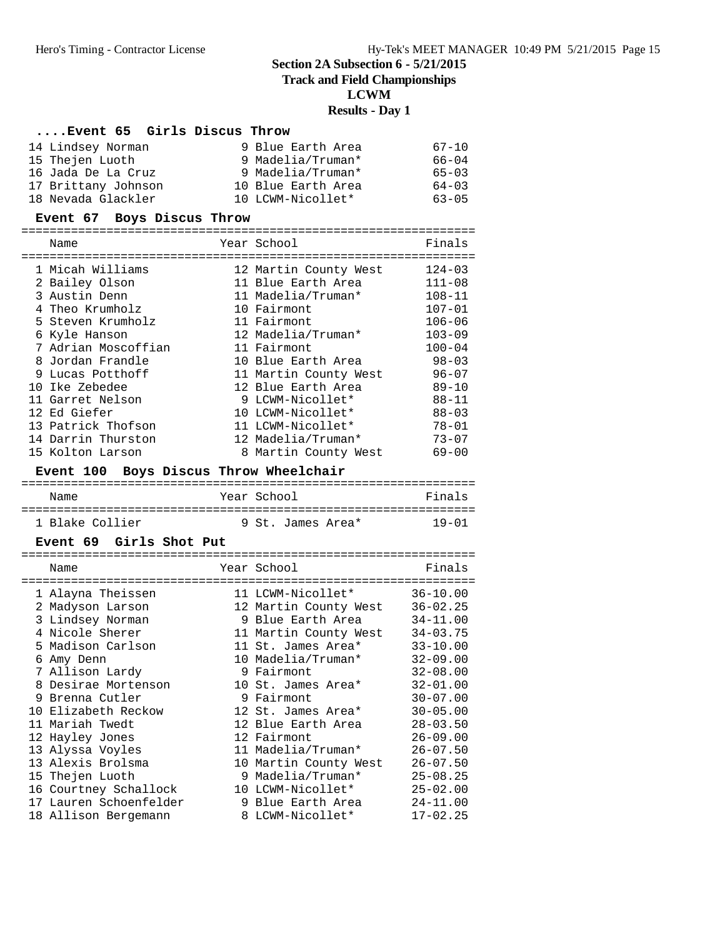**Track and Field Championships**

**LCWM**

#### **Results - Day 1**

## **....Event 65 Girls Discus Throw**

| 14 Lindsey Norman   | 9 Blue Earth Area  | $67 - 10$ |
|---------------------|--------------------|-----------|
| 15 Thejen Luoth     | 9 Madelia/Truman*  | $66 - 04$ |
| 16 Jada De La Cruz  | 9 Madelia/Truman*  | $65 - 03$ |
| 17 Brittany Johnson | 10 Blue Earth Area | $64 - 03$ |
| 18 Nevada Glackler  | 10 LCWM-Nicollet*  | $63 - 05$ |

# **Event 67 Boys Discus Throw**

| Name                | Year School           | Finals     |
|---------------------|-----------------------|------------|
|                     |                       |            |
| 1 Micah Williams    | 12 Martin County West | $124 - 03$ |
| 2 Bailey Olson      | 11 Blue Earth Area    | $111 - 08$ |
| 3 Austin Denn       | 11 Madelia/Truman*    | $108 - 11$ |
| 4 Theo Krumholz     | 10 Fairmont           | $107 - 01$ |
| 5 Steven Krumholz   | 11 Fairmont           | $106 - 06$ |
| 6 Kyle Hanson       | 12 Madelia/Truman*    | $103 - 09$ |
| 7 Adrian Moscoffian | 11 Fairmont           | $100 - 04$ |
| 8 Jordan Frandle    | 10 Blue Earth Area    | $98 - 03$  |
| 9 Lucas Potthoff    | 11 Martin County West | $96 - 07$  |
| 10 Ike Zebedee      | 12 Blue Earth Area    | $89 - 10$  |
| 11 Garret Nelson    | 9 LCWM-Nicollet*      | $88 - 11$  |
| 12 Ed Giefer        | 10 LCWM-Nicollet*     | $88 - 03$  |
| 13 Patrick Thofson  | 11 LCWM-Nicollet*     | $78 - 01$  |
| 14 Darrin Thurston  | 12 Madelia/Truman*    | $73 - 07$  |
| 15 Kolton Larson    | 8 Martin County West  | $69 - 00$  |

# **Event 100 Boys Discus Throw Wheelchair**

| Name            | Year School       | Finals    |
|-----------------|-------------------|-----------|
| 1 Blake Collier | 9 St. James Area* | $19 - 01$ |

#### **Event 69 Girls Shot Put**

|    | Name                  | Year School           | Finals       |
|----|-----------------------|-----------------------|--------------|
|    | 1 Alayna Theissen     | 11 LCWM-Nicollet*     | $36 - 10.00$ |
|    | 2 Madyson Larson      | 12 Martin County West | $36 - 02.25$ |
|    | 3 Lindsey Norman      | 9 Blue Earth Area     | $34 - 11.00$ |
|    | 4 Nicole Sherer       | 11 Martin County West | $34 - 03.75$ |
|    | 5 Madison Carlson     | 11 St. James Area*    | $33 - 10.00$ |
|    | 6 Amy Denn            | 10 Madelia/Truman*    | $32 - 09.00$ |
|    | 7 Allison Lardy       | 9 Fairmont            | $32 - 08.00$ |
|    | 8 Desirae Mortenson   | 10 St. James Area*    | $32 - 01.00$ |
|    | 9 Brenna Cutler       | 9 Fairmont            | $30 - 07.00$ |
|    | 10 Elizabeth Reckow   | 12 St. James Area*    | $30 - 05.00$ |
|    | 11 Mariah Twedt       | 12 Blue Earth Area    | $28 - 03.50$ |
|    | 12 Hayley Jones       | 12 Fairmont           | $26 - 09.00$ |
|    | 13 Alyssa Voyles      | 11 Madelia/Truman*    | $26 - 07.50$ |
|    | 13 Alexis Brolsma     | 10 Martin County West | $26 - 07.50$ |
|    | 15 Thejen Luoth       | 9 Madelia/Truman*     | $25 - 08.25$ |
|    | 16 Courtney Schallock | 10 LCWM-Nicollet*     | $25 - 02.00$ |
| 17 | Lauren Schoenfelder   | 9 Blue Earth Area     | $24 - 11.00$ |
|    | 18 Allison Bergemann  | 8 LCWM-Nicollet*      | $17 - 02.25$ |